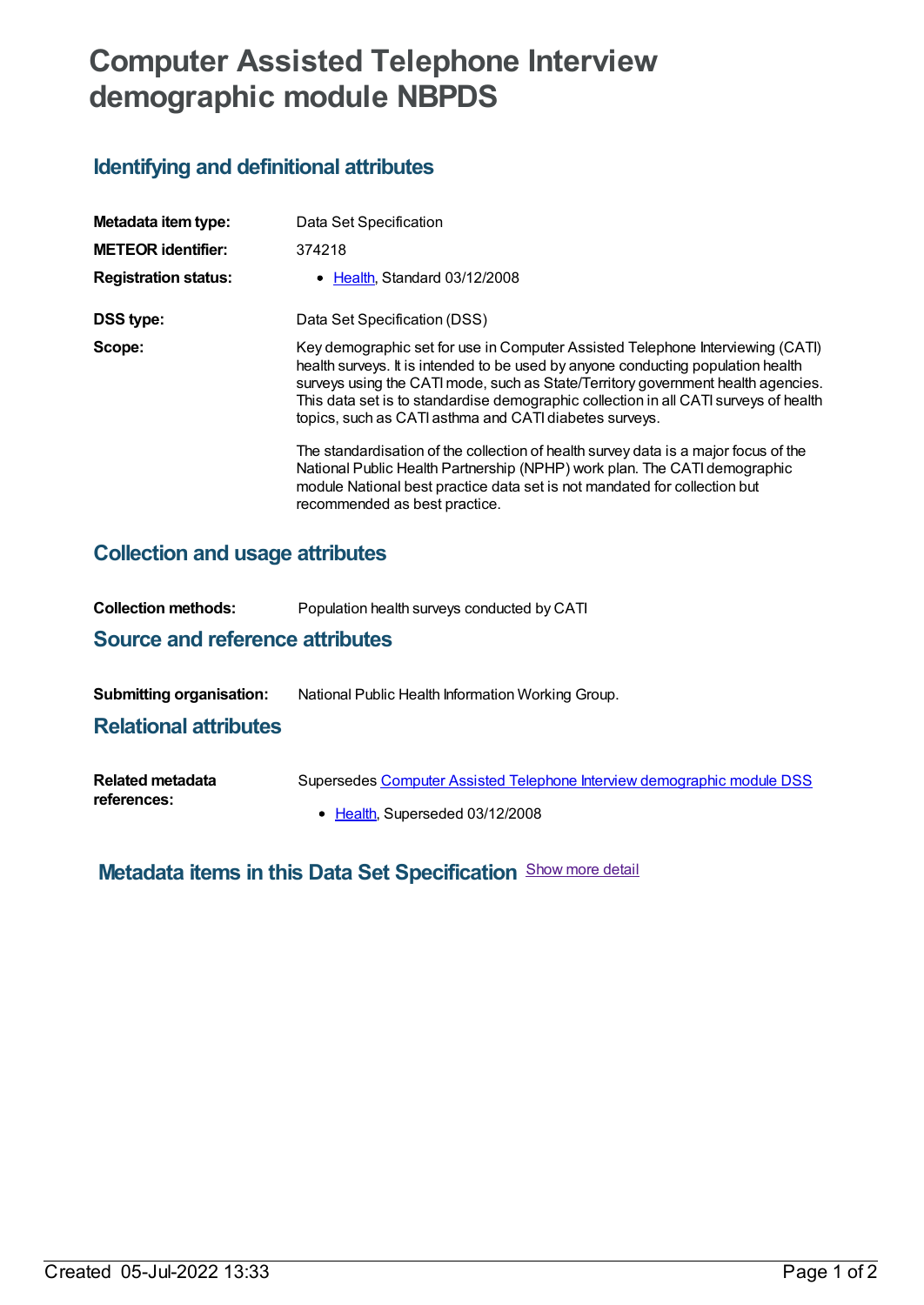# **Computer Assisted Telephone Interview demographic module NBPDS**

## **Identifying and definitional attributes**

| Metadata item type:         | Data Set Specification                                                                                                                                                                                                                                                                                                                                                                                   |
|-----------------------------|----------------------------------------------------------------------------------------------------------------------------------------------------------------------------------------------------------------------------------------------------------------------------------------------------------------------------------------------------------------------------------------------------------|
| <b>METEOR identifier:</b>   | 374218                                                                                                                                                                                                                                                                                                                                                                                                   |
| <b>Registration status:</b> | • Health, Standard 03/12/2008                                                                                                                                                                                                                                                                                                                                                                            |
| DSS type:                   | Data Set Specification (DSS)                                                                                                                                                                                                                                                                                                                                                                             |
| Scope:                      | Key demographic set for use in Computer Assisted Telephone Interviewing (CATI)<br>health surveys. It is intended to be used by anyone conducting population health<br>surveys using the CATI mode, such as State/Territory government health agencies.<br>This data set is to standardise demographic collection in all CATI surveys of health<br>topics, such as CATI asthma and CATI diabetes surveys. |
|                             | The standardisation of the collection of health survey data is a major focus of the<br>National Public Health Partnership (NPHP) work plan. The CATI demographic<br>module National best practice data set is not mandated for collection but<br>recommended as best practice.                                                                                                                           |

### **Collection and usage attributes**

| <b>Collection methods:</b>             | Population health surveys conducted by CATI                             |  |  |  |
|----------------------------------------|-------------------------------------------------------------------------|--|--|--|
| <b>Source and reference attributes</b> |                                                                         |  |  |  |
| <b>Submitting organisation:</b>        | National Public Health Information Working Group.                       |  |  |  |
| <b>Relational attributes</b>           |                                                                         |  |  |  |
| Related metadata<br>references:        | Supersedes Computer Assisted Telephone Interview demographic module DSS |  |  |  |

• [Health](https://meteor.aihw.gov.au/RegistrationAuthority/12), Superseded 03/12/2008

**Metadata items in this Data Set Specification** Show more detail